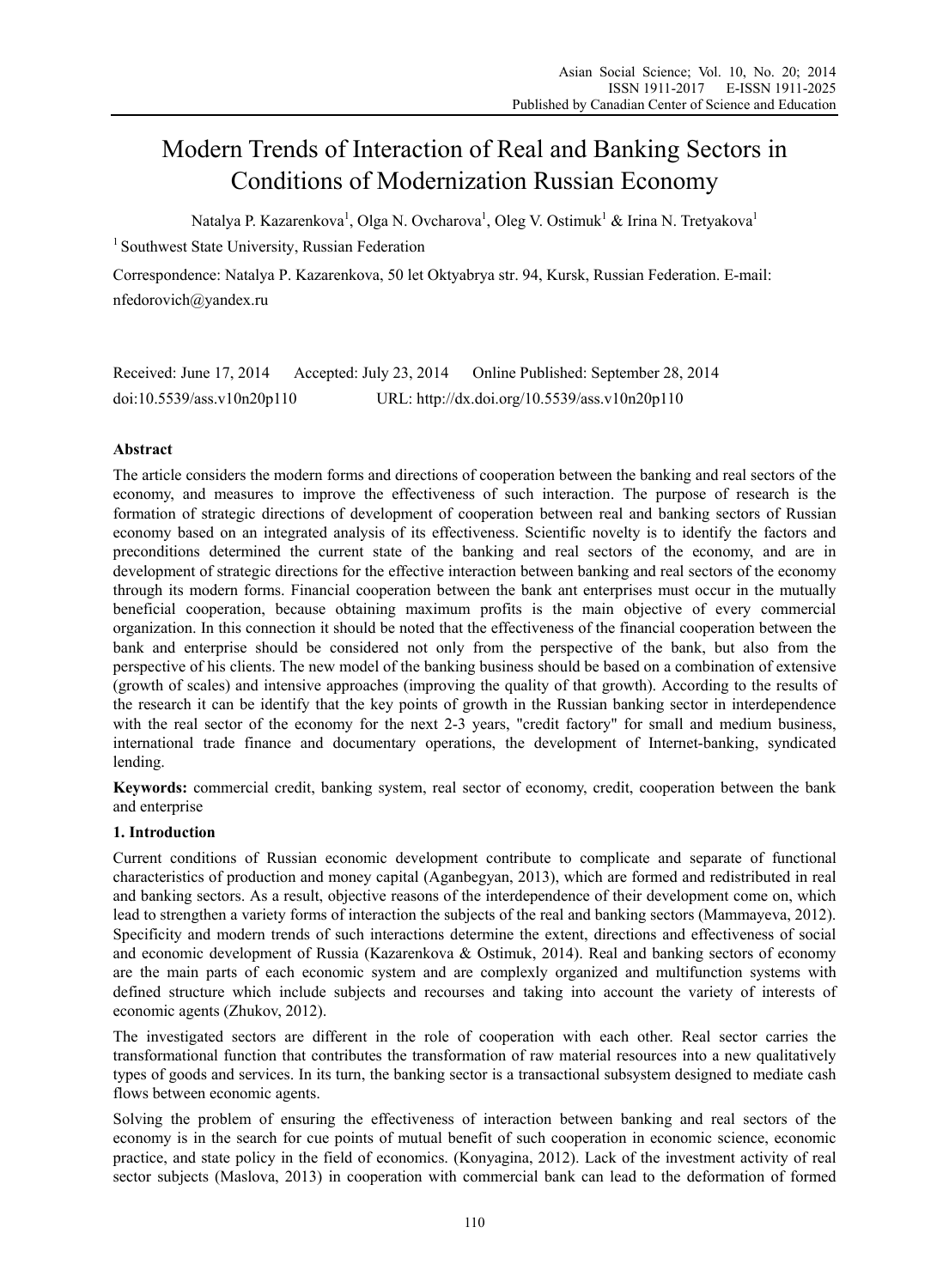# Modern Trends of Interaction of Real and Banking Sectors in Conditions of Modernization Russian Economy

Natalya P. Kazarenkova<sup>1</sup>, Olga N. Ovcharova<sup>1</sup>, Oleg V. Ostimuk<sup>1</sup> & Irina N. Tretyakova<sup>1</sup> <sup>1</sup> Southwest State University, Russian Federation

Correspondence: Natalya P. Kazarenkova, 50 let Oktyabrya str. 94, Kursk, Russian Federation. E-mail: nfedorovich@yandex.ru

Received: June 17, 2014 Accepted: July 23, 2014 Online Published: September 28, 2014 doi:10.5539/ass.v10n20p110 URL: http://dx.doi.org/10.5539/ass.v10n20p110

# **Abstract**

The article considers the modern forms and directions of cooperation between the banking and real sectors of the economy, and measures to improve the effectiveness of such interaction. The purpose of research is the formation of strategic directions of development of cooperation between real and banking sectors of Russian economy based on an integrated analysis of its effectiveness. Scientific novelty is to identify the factors and preconditions determined the current state of the banking and real sectors of the economy, and are in development of strategic directions for the effective interaction between banking and real sectors of the economy through its modern forms. Financial cooperation between the bank ant enterprises must occur in the mutually beneficial cooperation, because obtaining maximum profits is the main objective of every commercial organization. In this connection it should be noted that the effectiveness of the financial cooperation between the bank and enterprise should be considered not only from the perspective of the bank, but also from the perspective of his clients. The new model of the banking business should be based on a combination of extensive (growth of scales) and intensive approaches (improving the quality of that growth). According to the results of the research it can be identify that the key points of growth in the Russian banking sector in interdependence with the real sector of the economy for the next 2-3 years, "credit factory" for small and medium business, international trade finance and documentary operations, the development of Internet-banking, syndicated lending.

**Keywords:** commercial credit, banking system, real sector of economy, credit, cooperation between the bank and enterprise

# **1. Introduction**

Current conditions of Russian economic development contribute to complicate and separate of functional characteristics of production and money capital (Aganbegyan, 2013), which are formed and redistributed in real and banking sectors. As a result, objective reasons of the interdependence of their development come on, which lead to strengthen a variety forms of interaction the subjects of the real and banking sectors (Mammayeva, 2012). Specificity and modern trends of such interactions determine the extent, directions and effectiveness of social and economic development of Russia (Kazarenkova & Ostimuk, 2014). Real and banking sectors of economy are the main parts of each economic system and are complexly organized and multifunction systems with defined structure which include subjects and recourses and taking into account the variety of interests of economic agents (Zhukov, 2012).

The investigated sectors are different in the role of cooperation with each other. Real sector carries the transformational function that contributes the transformation of raw material resources into a new qualitatively types of goods and services. In its turn, the banking sector is a transactional subsystem designed to mediate cash flows between economic agents.

Solving the problem of ensuring the effectiveness of interaction between banking and real sectors of the economy is in the search for cue points of mutual benefit of such cooperation in economic science, economic practice, and state policy in the field of economics. (Konyagina, 2012). Lack of the investment activity of real sector subjects (Maslova, 2013) in cooperation with commercial bank can lead to the deformation of formed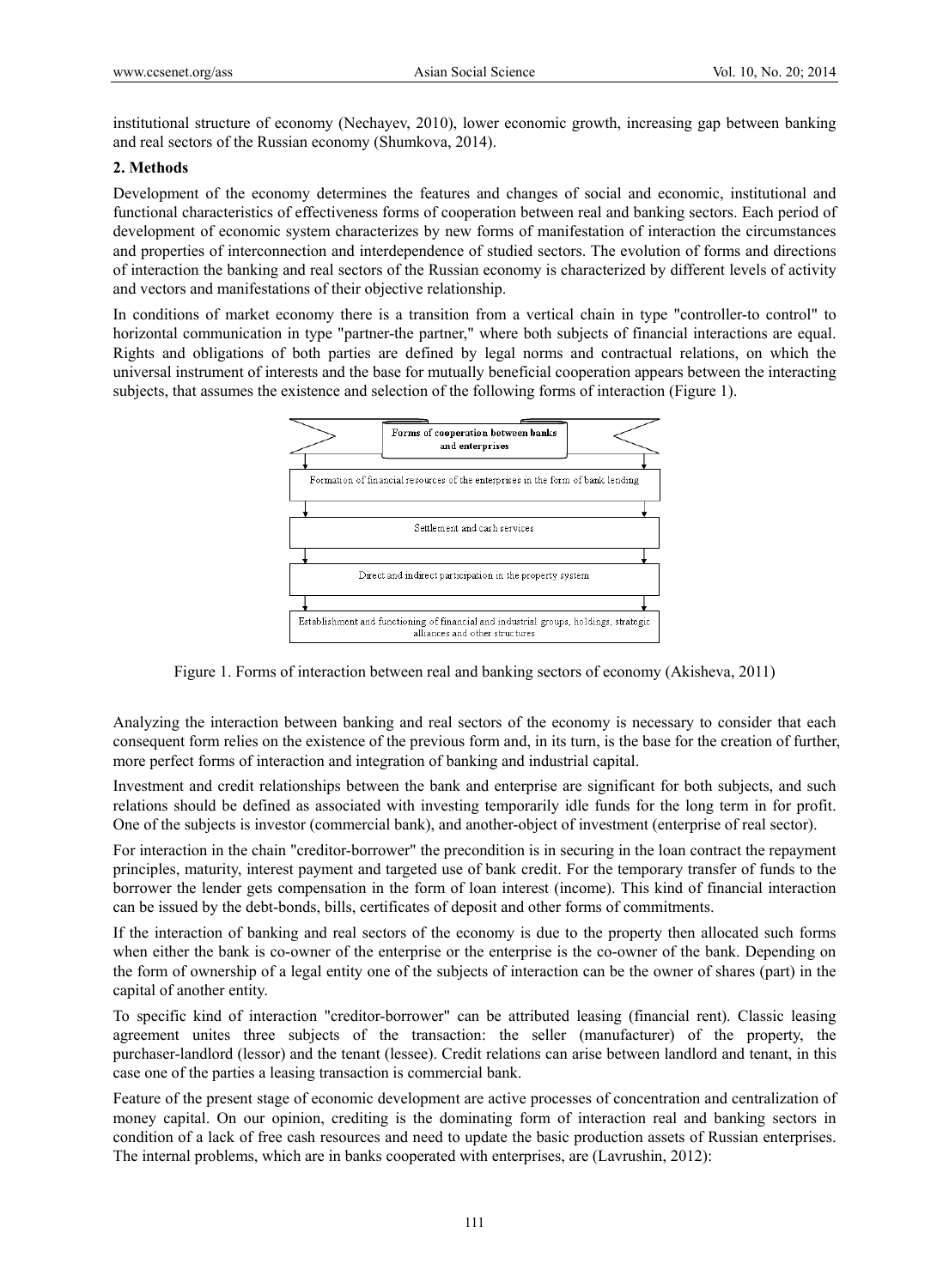institutional structure of economy (Nechayev, 2010), lower economic growth, increasing gap between banking and real sectors of the Russian economy (Shumkova, 2014).

# **2. Methods**

Development of the economy determines the features and changes of social and economic, institutional and functional characteristics of effectiveness forms of cooperation between real and banking sectors. Each period of development of economic system characterizes by new forms of manifestation of interaction the circumstances and properties of interconnection and interdependence of studied sectors. The evolution of forms and directions of interaction the banking and real sectors of the Russian economy is characterized by different levels of activity and vectors and manifestations of their objective relationship.

In conditions of market economy there is a transition from a vertical chain in type "controller-to control" to horizontal communication in type "partner-the partner," where both subjects of financial interactions are equal. Rights and obligations of both parties are defined by legal norms and contractual relations, on which the universal instrument of interests and the base for mutually beneficial cooperation appears between the interacting subjects, that assumes the existence and selection of the following forms of interaction (Figure 1).



Figure 1. Forms of interaction between real and banking sectors of economy (Akisheva, 2011)

Analyzing the interaction between banking and real sectors of the economy is necessary to consider that each consequent form relies on the existence of the previous form and, in its turn, is the base for the creation of further, more perfect forms of interaction and integration of banking and industrial capital.

Investment and credit relationships between the bank and enterprise are significant for both subjects, and such relations should be defined as associated with investing temporarily idle funds for the long term in for profit. One of the subjects is investor (commercial bank), and another-object of investment (enterprise of real sector).

For interaction in the chain "creditor-borrower" the precondition is in securing in the loan contract the repayment principles, maturity, interest payment and targeted use of bank credit. For the temporary transfer of funds to the borrower the lender gets compensation in the form of loan interest (income). This kind of financial interaction can be issued by the debt-bonds, bills, certificates of deposit and other forms of commitments.

If the interaction of banking and real sectors of the economy is due to the property then allocated such forms when either the bank is co-owner of the enterprise or the enterprise is the co-owner of the bank. Depending on the form of ownership of a legal entity one of the subjects of interaction can be the owner of shares (part) in the capital of another entity.

To specific kind of interaction "creditor-borrower" can be attributed leasing (financial rent). Classic leasing agreement unites three subjects of the transaction: the seller (manufacturer) of the property, the purchaser-landlord (lessor) and the tenant (lessee). Credit relations can arise between landlord and tenant, in this case one of the parties a leasing transaction is commercial bank.

Feature of the present stage of economic development are active processes of concentration and centralization of money capital. On our opinion, crediting is the dominating form of interaction real and banking sectors in condition of a lack of free cash resources and need to update the basic production assets of Russian enterprises. The internal problems, which are in banks cooperated with enterprises, are (Lavrushin, 2012):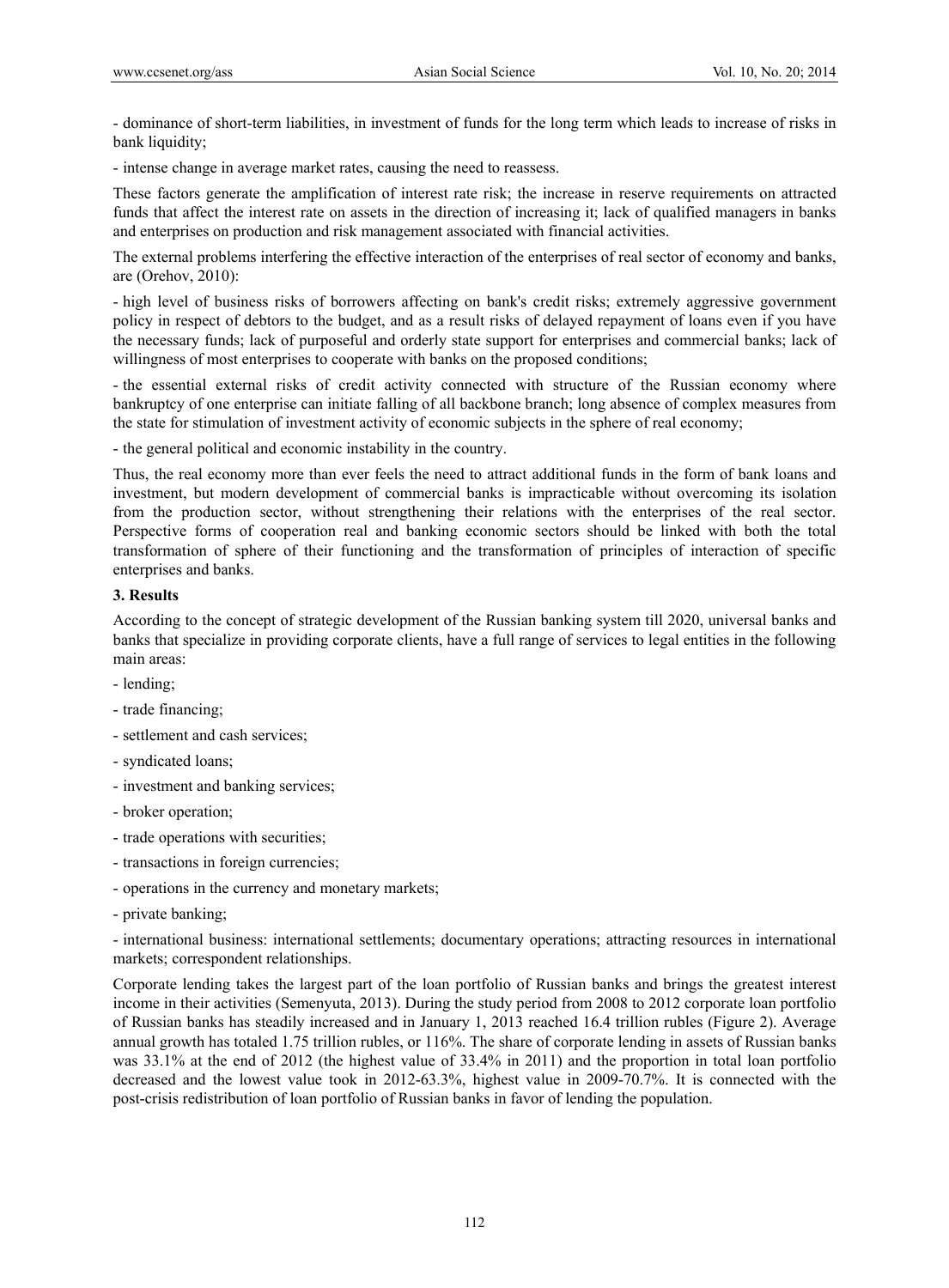- dominance of short-term liabilities, in investment of funds for the long term which leads to increase of risks in bank liquidity;

- intense change in average market rates, causing the need to reassess.

These factors generate the amplification of interest rate risk; the increase in reserve requirements on attracted funds that affect the interest rate on assets in the direction of increasing it; lack of qualified managers in banks and enterprises on production and risk management associated with financial activities.

The external problems interfering the effective interaction of the enterprises of real sector of economy and banks, are (Orehov, 2010):

- high level of business risks of borrowers affecting on bank's credit risks; extremely aggressive government policy in respect of debtors to the budget, and as a result risks of delayed repayment of loans even if you have the necessary funds; lack of purposeful and orderly state support for enterprises and commercial banks; lack of willingness of most enterprises to cooperate with banks on the proposed conditions;

- the essential external risks of credit activity connected with structure of the Russian economy where bankruptcy of one enterprise can initiate falling of all backbone branch; long absence of complex measures from the state for stimulation of investment activity of economic subjects in the sphere of real economy;

- the general political and economic instability in the country.

Thus, the real economy more than ever feels the need to attract additional funds in the form of bank loans and investment, but modern development of commercial banks is impracticable without overcoming its isolation from the production sector, without strengthening their relations with the enterprises of the real sector. Perspective forms of cooperation real and banking economic sectors should be linked with both the total transformation of sphere of their functioning and the transformation of principles of interaction of specific enterprises and banks.

#### **3. Results**

According to the concept of strategic development of the Russian banking system till 2020, universal banks and banks that specialize in providing corporate clients, have a full range of services to legal entities in the following main areas:

- lending;
- trade financing;
- settlement and cash services;
- syndicated loans;
- investment and banking services;
- broker operation;
- trade operations with securities;
- transactions in foreign currencies;
- operations in the currency and monetary markets;
- private banking;

- international business: international settlements; documentary operations; attracting resources in international markets; correspondent relationships.

Corporate lending takes the largest part of the loan portfolio of Russian banks and brings the greatest interest income in their activities (Semenyuta, 2013). During the study period from 2008 to 2012 corporate loan portfolio of Russian banks has steadily increased and in January 1, 2013 reached 16.4 trillion rubles (Figure 2). Average annual growth has totaled 1.75 trillion rubles, or 116%. The share of corporate lending in assets of Russian banks was 33.1% at the end of 2012 (the highest value of 33.4% in 2011) and the proportion in total loan portfolio decreased and the lowest value took in 2012-63.3%, highest value in 2009-70.7%. It is connected with the post-crisis redistribution of loan portfolio of Russian banks in favor of lending the population.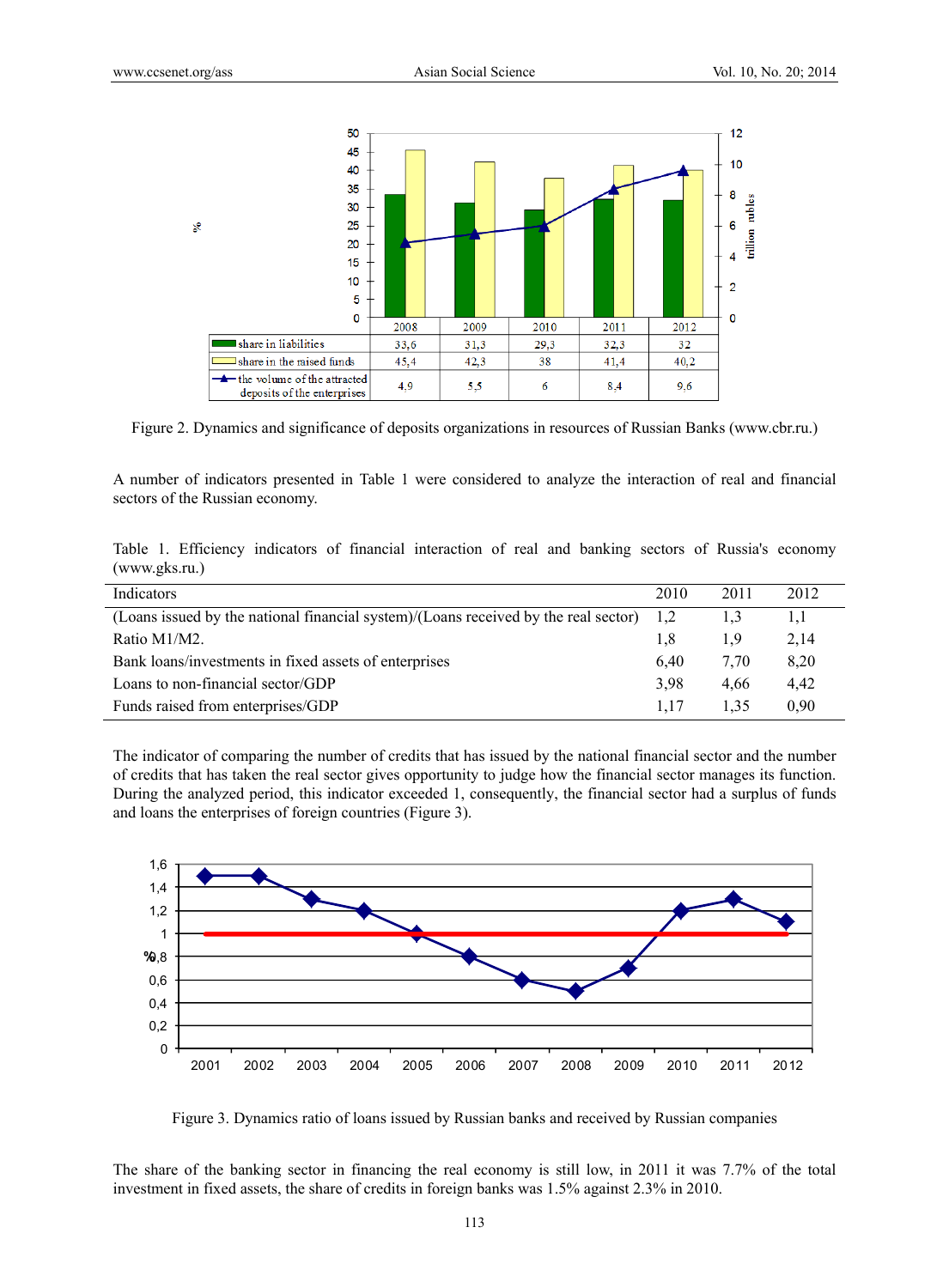

Figure 2. Dynamics and significance of deposits organizations in resources of Russian Banks (www.cbr.ru.)

A number of indicators presented in Table 1 were considered to analyze the interaction of real and financial sectors of the Russian economy.

Table 1. Efficiency indicators of financial interaction of real and banking sectors of Russia's economy (www.gks.ru.)

| Indicators                                                                          | 2010 | 2011 | 2012 |
|-------------------------------------------------------------------------------------|------|------|------|
| (Loans issued by the national financial system)/(Loans received by the real sector) | -1.2 | 1,3  | 1,1  |
| Ratio M1/M2.                                                                        | 1.8  | 1.9  | 2,14 |
| Bank loans/investments in fixed assets of enterprises                               | 6,40 | 7.70 | 8,20 |
| Loans to non-financial sector/GDP                                                   | 3.98 | 4.66 | 4,42 |
| Funds raised from enterprises/GDP                                                   | 1.17 | 1.35 | 0.90 |

The indicator of comparing the number of credits that has issued by the national financial sector and the number of credits that has taken the real sector gives opportunity to judge how the financial sector manages its function. During the analyzed period, this indicator exceeded 1, consequently, the financial sector had a surplus of funds and loans the enterprises of foreign countries (Figure 3).



Figure 3. Dynamics ratio of loans issued by Russian banks and received by Russian companies

The share of the banking sector in financing the real economy is still low, in 2011 it was 7.7% of the total investment in fixed assets, the share of credits in foreign banks was 1.5% against 2.3% in 2010.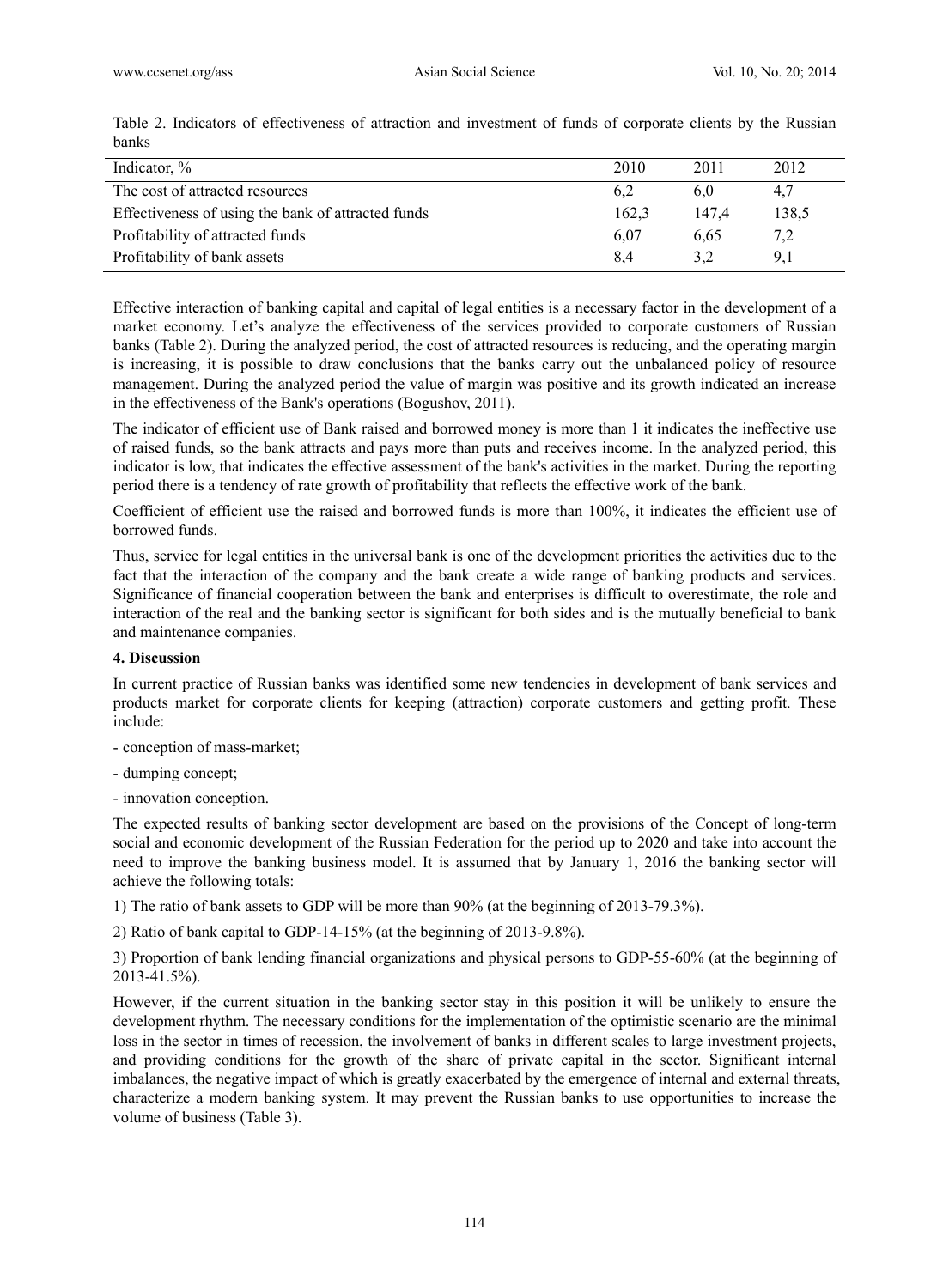| <b>U</b> alino                                     |       |       |       |
|----------------------------------------------------|-------|-------|-------|
| Indicator, %                                       | 2010  | 2011  | 2012  |
| The cost of attracted resources                    | 6,2   | 6,0   | 4.7   |
| Effectiveness of using the bank of attracted funds | 162,3 | 147.4 | 138.5 |
| Profitability of attracted funds                   | 6.07  | 6.65  | 7.2   |
| Profitability of bank assets                       | 8,4   | 3.2   | 9.1   |

Table 2. Indicators of effectiveness of attraction and investment of funds of corporate clients by the Russian banks

Effective interaction of banking capital and capital of legal entities is a necessary factor in the development of a market economy. Let's analyze the effectiveness of the services provided to corporate customers of Russian banks (Table 2). During the analyzed period, the cost of attracted resources is reducing, and the operating margin is increasing, it is possible to draw conclusions that the banks carry out the unbalanced policy of resource management. During the analyzed period the value of margin was positive and its growth indicated an increase in the effectiveness of the Bank's operations (Bogushov, 2011).

The indicator of efficient use of Bank raised and borrowed money is more than 1 it indicates the ineffective use of raised funds, so the bank attracts and pays more than puts and receives income. In the analyzed period, this indicator is low, that indicates the effective assessment of the bank's activities in the market. During the reporting period there is a tendency of rate growth of profitability that reflects the effective work of the bank.

Coefficient of efficient use the raised and borrowed funds is more than 100%, it indicates the efficient use of borrowed funds.

Thus, service for legal entities in the universal bank is one of the development priorities the activities due to the fact that the interaction of the company and the bank create a wide range of banking products and services. Significance of financial cooperation between the bank and enterprises is difficult to overestimate, the role and interaction of the real and the banking sector is significant for both sides and is the mutually beneficial to bank and maintenance companies.

# **4. Discussion**

In current practice of Russian banks was identified some new tendencies in development of bank services and products market for corporate clients for keeping (attraction) corporate customers and getting profit. These include:

- conception of mass-market;
- dumping concept;
- innovation conception.

The expected results of banking sector development are based on the provisions of the Concept of long-term social and economic development of the Russian Federation for the period up to 2020 and take into account the need to improve the banking business model. It is assumed that by January 1, 2016 the banking sector will achieve the following totals:

1) The ratio of bank assets to GDP will be more than 90% (at the beginning of 2013-79.3%).

2) Ratio of bank capital to GDP-14-15% (at the beginning of 2013-9.8%).

3) Proportion of bank lending financial organizations and physical persons to GDP-55-60% (at the beginning of 2013-41.5%).

However, if the current situation in the banking sector stay in this position it will be unlikely to ensure the development rhythm. The necessary conditions for the implementation of the optimistic scenario are the minimal loss in the sector in times of recession, the involvement of banks in different scales to large investment projects, and providing conditions for the growth of the share of private capital in the sector. Significant internal imbalances, the negative impact of which is greatly exacerbated by the emergence of internal and external threats, characterize a modern banking system. It may prevent the Russian banks to use opportunities to increase the volume of business (Table 3).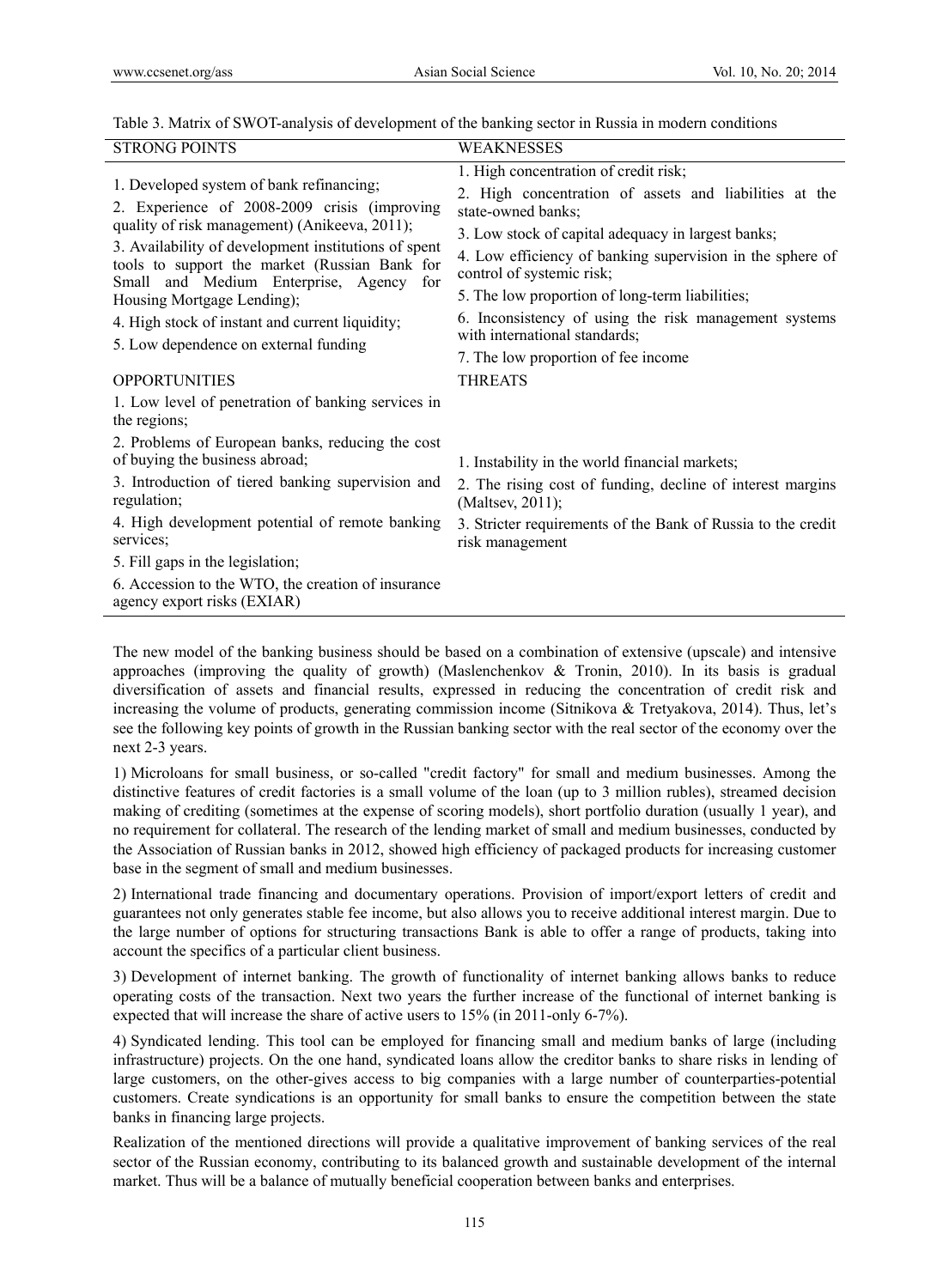|  |  | Table 3. Matrix of SWOT-analysis of development of the banking sector in Russia in modern conditions |
|--|--|------------------------------------------------------------------------------------------------------|
|  |  |                                                                                                      |

| <b>STRONG POINTS</b>                                                                                                                                                                                                                                                                                                                                                                                                    | <b>WEAKNESSES</b>                                                                                                                                                                                                                                                                                                                                                                                                                                         |
|-------------------------------------------------------------------------------------------------------------------------------------------------------------------------------------------------------------------------------------------------------------------------------------------------------------------------------------------------------------------------------------------------------------------------|-----------------------------------------------------------------------------------------------------------------------------------------------------------------------------------------------------------------------------------------------------------------------------------------------------------------------------------------------------------------------------------------------------------------------------------------------------------|
| 1. Developed system of bank refinancing;<br>2. Experience of 2008-2009 crisis (improving<br>quality of risk management) (Anikeeva, 2011);<br>3. Availability of development institutions of spent<br>tools to support the market (Russian Bank for<br>Small and Medium Enterprise, Agency for<br>Housing Mortgage Lending);<br>4. High stock of instant and current liquidity;<br>5. Low dependence on external funding | 1. High concentration of credit risk;<br>2. High concentration of assets and liabilities at the<br>state-owned banks;<br>3. Low stock of capital adequacy in largest banks;<br>4. Low efficiency of banking supervision in the sphere of<br>control of systemic risk;<br>5. The low proportion of long-term liabilities;<br>6. Inconsistency of using the risk management systems<br>with international standards;<br>7. The low proportion of fee income |
| <b>OPPORTUNITIES</b>                                                                                                                                                                                                                                                                                                                                                                                                    | <b>THREATS</b>                                                                                                                                                                                                                                                                                                                                                                                                                                            |
| 1. Low level of penetration of banking services in<br>the regions;                                                                                                                                                                                                                                                                                                                                                      |                                                                                                                                                                                                                                                                                                                                                                                                                                                           |
| 2. Problems of European banks, reducing the cost<br>of buying the business abroad;                                                                                                                                                                                                                                                                                                                                      | 1. Instability in the world financial markets;                                                                                                                                                                                                                                                                                                                                                                                                            |
| 3. Introduction of tiered banking supervision and<br>regulation;                                                                                                                                                                                                                                                                                                                                                        | 2. The rising cost of funding, decline of interest margins<br>(Maltsev, 2011);                                                                                                                                                                                                                                                                                                                                                                            |
| 4. High development potential of remote banking<br>services;                                                                                                                                                                                                                                                                                                                                                            | 3. Stricter requirements of the Bank of Russia to the credit<br>risk management                                                                                                                                                                                                                                                                                                                                                                           |
| 5. Fill gaps in the legislation;                                                                                                                                                                                                                                                                                                                                                                                        |                                                                                                                                                                                                                                                                                                                                                                                                                                                           |
| 6. Accession to the WTO, the creation of insurance<br>agency export risks (EXIAR)                                                                                                                                                                                                                                                                                                                                       |                                                                                                                                                                                                                                                                                                                                                                                                                                                           |

The new model of the banking business should be based on a combination of extensive (upscale) and intensive approaches (improving the quality of growth) (Maslenchenkov & Tronin, 2010). In its basis is gradual diversification of assets and financial results, expressed in reducing the concentration of credit risk and increasing the volume of products, generating commission income (Sitnikova & Tretyakova, 2014). Thus, let's see the following key points of growth in the Russian banking sector with the real sector of the economy over the next 2-3 years.

1) Microloans for small business, or so-called "credit factory" for small and medium businesses. Among the distinctive features of credit factories is a small volume of the loan (up to 3 million rubles), streamed decision making of crediting (sometimes at the expense of scoring models), short portfolio duration (usually 1 year), and no requirement for collateral. The research of the lending market of small and medium businesses, conducted by the Association of Russian banks in 2012, showed high efficiency of packaged products for increasing customer base in the segment of small and medium businesses.

2) International trade financing and documentary operations. Provision of import/export letters of credit and guarantees not only generates stable fee income, but also allows you to receive additional interest margin. Due to the large number of options for structuring transactions Bank is able to offer a range of products, taking into account the specifics of a particular client business.

3) Development of internet banking. The growth of functionality of internet banking allows banks to reduce operating costs of the transaction. Next two years the further increase of the functional of internet banking is expected that will increase the share of active users to 15% (in 2011-only 6-7%).

4) Syndicated lending. This tool can be employed for financing small and medium banks of large (including infrastructure) projects. On the one hand, syndicated loans allow the creditor banks to share risks in lending of large customers, on the other-gives access to big companies with a large number of counterparties-potential customers. Create syndications is an opportunity for small banks to ensure the competition between the state banks in financing large projects.

Realization of the mentioned directions will provide a qualitative improvement of banking services of the real sector of the Russian economy, contributing to its balanced growth and sustainable development of the internal market. Thus will be a balance of mutually beneficial cooperation between banks and enterprises.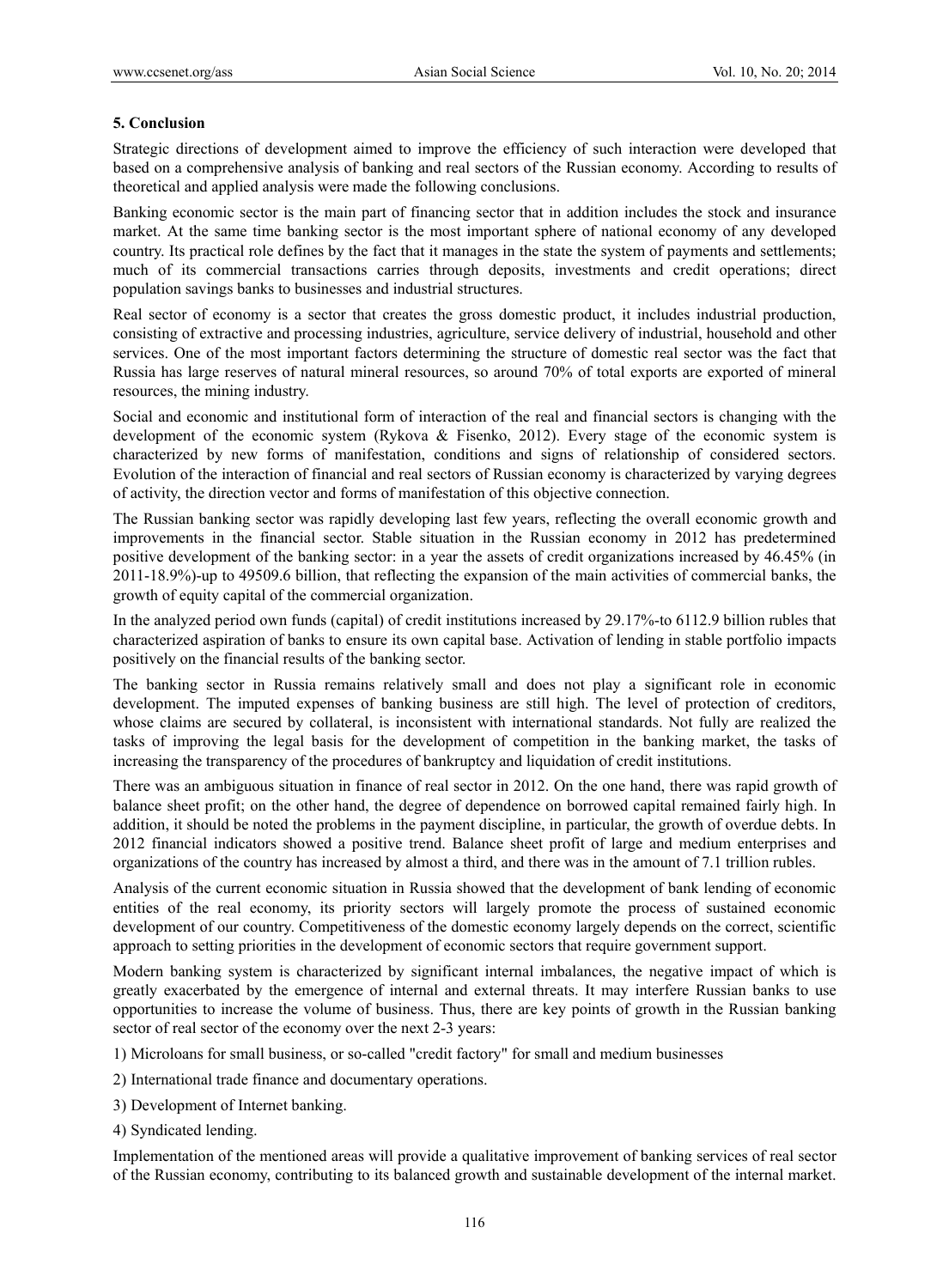# **5. Conclusion**

Strategic directions of development aimed to improve the efficiency of such interaction were developed that based on a comprehensive analysis of banking and real sectors of the Russian economy. According to results of theoretical and applied analysis were made the following conclusions.

Banking economic sector is the main part of financing sector that in addition includes the stock and insurance market. At the same time banking sector is the most important sphere of national economy of any developed country. Its practical role defines by the fact that it manages in the state the system of payments and settlements; much of its commercial transactions carries through deposits, investments and credit operations; direct population savings banks to businesses and industrial structures.

Real sector of economy is a sector that creates the gross domestic product, it includes industrial production, consisting of extractive and processing industries, agriculture, service delivery of industrial, household and other services. One of the most important factors determining the structure of domestic real sector was the fact that Russia has large reserves of natural mineral resources, so around 70% of total exports are exported of mineral resources, the mining industry.

Social and economic and institutional form of interaction of the real and financial sectors is changing with the development of the economic system (Rykova & Fisenko, 2012). Every stage of the economic system is characterized by new forms of manifestation, conditions and signs of relationship of considered sectors. Evolution of the interaction of financial and real sectors of Russian economy is characterized by varying degrees of activity, the direction vector and forms of manifestation of this objective connection.

The Russian banking sector was rapidly developing last few years, reflecting the overall economic growth and improvements in the financial sector. Stable situation in the Russian economy in 2012 has predetermined positive development of the banking sector: in a year the assets of credit organizations increased by 46.45% (in 2011-18.9%)-up to 49509.6 billion, that reflecting the expansion of the main activities of commercial banks, the growth of equity capital of the commercial organization.

In the analyzed period own funds (capital) of credit institutions increased by 29.17%-to 6112.9 billion rubles that characterized aspiration of banks to ensure its own capital base. Activation of lending in stable portfolio impacts positively on the financial results of the banking sector.

The banking sector in Russia remains relatively small and does not play a significant role in economic development. The imputed expenses of banking business are still high. The level of protection of creditors, whose claims are secured by collateral, is inconsistent with international standards. Not fully are realized the tasks of improving the legal basis for the development of competition in the banking market, the tasks of increasing the transparency of the procedures of bankruptcy and liquidation of credit institutions.

There was an ambiguous situation in finance of real sector in 2012. On the one hand, there was rapid growth of balance sheet profit; on the other hand, the degree of dependence on borrowed capital remained fairly high. In addition, it should be noted the problems in the payment discipline, in particular, the growth of overdue debts. In 2012 financial indicators showed a positive trend. Balance sheet profit of large and medium enterprises and organizations of the country has increased by almost a third, and there was in the amount of 7.1 trillion rubles.

Analysis of the current economic situation in Russia showed that the development of bank lending of economic entities of the real economy, its priority sectors will largely promote the process of sustained economic development of our country. Competitiveness of the domestic economy largely depends on the correct, scientific approach to setting priorities in the development of economic sectors that require government support.

Modern banking system is characterized by significant internal imbalances, the negative impact of which is greatly exacerbated by the emergence of internal and external threats. It may interfere Russian banks to use opportunities to increase the volume of business. Thus, there are key points of growth in the Russian banking sector of real sector of the economy over the next 2-3 years:

1) Microloans for small business, or so-called "credit factory" for small and medium businesses

- 2) International trade finance and documentary operations.
- 3) Development of Internet banking.
- 4) Syndicated lending.

Implementation of the mentioned areas will provide a qualitative improvement of banking services of real sector of the Russian economy, contributing to its balanced growth and sustainable development of the internal market.